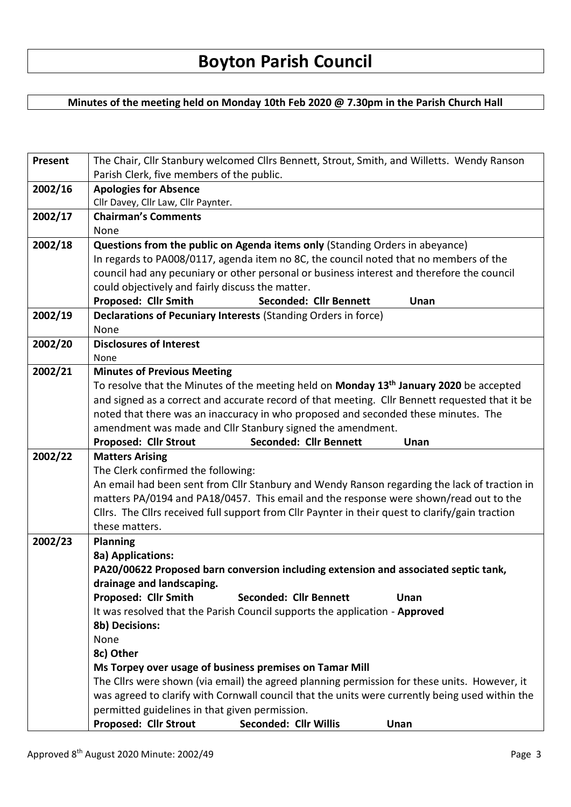## **Minutes of the meeting held on Monday 10th Feb 2020 @ 7.30pm in the Parish Church Hall**

| Present | The Chair, Cllr Stanbury welcomed Cllrs Bennett, Strout, Smith, and Willetts. Wendy Ranson                                                                                            |  |  |  |  |  |
|---------|---------------------------------------------------------------------------------------------------------------------------------------------------------------------------------------|--|--|--|--|--|
|         | Parish Clerk, five members of the public.                                                                                                                                             |  |  |  |  |  |
| 2002/16 | <b>Apologies for Absence</b>                                                                                                                                                          |  |  |  |  |  |
|         | Cllr Davey, Cllr Law, Cllr Paynter.                                                                                                                                                   |  |  |  |  |  |
| 2002/17 | <b>Chairman's Comments</b>                                                                                                                                                            |  |  |  |  |  |
|         | None                                                                                                                                                                                  |  |  |  |  |  |
| 2002/18 | Questions from the public on Agenda items only (Standing Orders in abeyance)                                                                                                          |  |  |  |  |  |
|         | In regards to PA008/0117, agenda item no 8C, the council noted that no members of the                                                                                                 |  |  |  |  |  |
|         | council had any pecuniary or other personal or business interest and therefore the council                                                                                            |  |  |  |  |  |
|         | could objectively and fairly discuss the matter.                                                                                                                                      |  |  |  |  |  |
|         | Proposed: Cllr Smith<br><b>Seconded: Cllr Bennett</b><br>Unan                                                                                                                         |  |  |  |  |  |
| 2002/19 | Declarations of Pecuniary Interests (Standing Orders in force)                                                                                                                        |  |  |  |  |  |
|         | None                                                                                                                                                                                  |  |  |  |  |  |
| 2002/20 | <b>Disclosures of Interest</b>                                                                                                                                                        |  |  |  |  |  |
|         | None                                                                                                                                                                                  |  |  |  |  |  |
| 2002/21 | <b>Minutes of Previous Meeting</b>                                                                                                                                                    |  |  |  |  |  |
|         | To resolve that the Minutes of the meeting held on Monday 13 <sup>th</sup> January 2020 be accepted                                                                                   |  |  |  |  |  |
|         | and signed as a correct and accurate record of that meeting. Cllr Bennett requested that it be                                                                                        |  |  |  |  |  |
|         | noted that there was an inaccuracy in who proposed and seconded these minutes. The                                                                                                    |  |  |  |  |  |
|         | amendment was made and Cllr Stanbury signed the amendment.                                                                                                                            |  |  |  |  |  |
|         | Seconded: Cllr Bennett<br><b>Proposed: Cllr Strout</b><br>Unan                                                                                                                        |  |  |  |  |  |
| 2002/22 | <b>Matters Arising</b>                                                                                                                                                                |  |  |  |  |  |
|         | The Clerk confirmed the following:                                                                                                                                                    |  |  |  |  |  |
|         | An email had been sent from Cllr Stanbury and Wendy Ranson regarding the lack of traction in<br>matters PA/0194 and PA18/0457. This email and the response were shown/read out to the |  |  |  |  |  |
|         | Cllrs. The Cllrs received full support from Cllr Paynter in their quest to clarify/gain traction                                                                                      |  |  |  |  |  |
|         | these matters.                                                                                                                                                                        |  |  |  |  |  |
| 2002/23 | <b>Planning</b>                                                                                                                                                                       |  |  |  |  |  |
|         | 8a) Applications:                                                                                                                                                                     |  |  |  |  |  |
|         | PA20/00622 Proposed barn conversion including extension and associated septic tank,                                                                                                   |  |  |  |  |  |
|         | drainage and landscaping.                                                                                                                                                             |  |  |  |  |  |
|         | Proposed: Cllr Smith<br><b>Seconded: Cllr Bennett</b><br>Unan                                                                                                                         |  |  |  |  |  |
|         | It was resolved that the Parish Council supports the application - Approved                                                                                                           |  |  |  |  |  |
|         | 8b) Decisions:                                                                                                                                                                        |  |  |  |  |  |
|         | None                                                                                                                                                                                  |  |  |  |  |  |
|         | 8c) Other                                                                                                                                                                             |  |  |  |  |  |
|         | Ms Torpey over usage of business premises on Tamar Mill                                                                                                                               |  |  |  |  |  |
|         | The Cllrs were shown (via email) the agreed planning permission for these units. However, it                                                                                          |  |  |  |  |  |
|         | was agreed to clarify with Cornwall council that the units were currently being used within the                                                                                       |  |  |  |  |  |
|         | permitted guidelines in that given permission.                                                                                                                                        |  |  |  |  |  |
|         | <b>Proposed: Cllr Strout</b><br>Seconded: Cllr Willis<br>Unan                                                                                                                         |  |  |  |  |  |